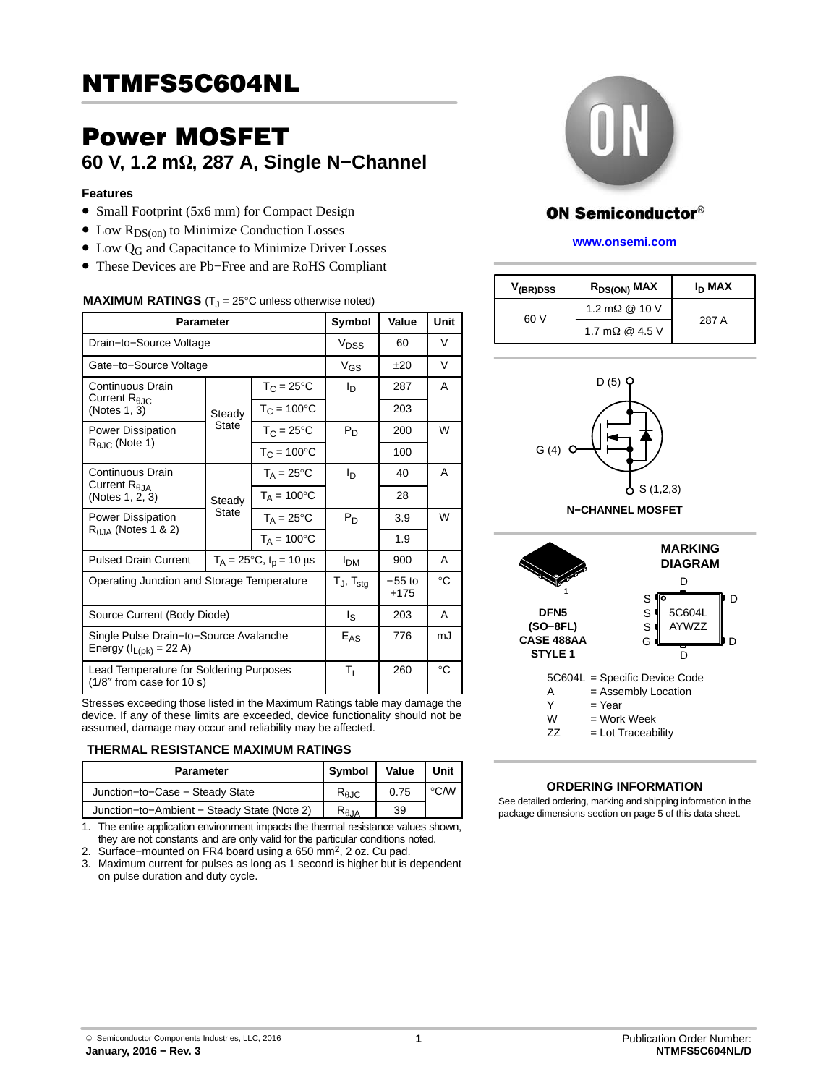## Power MOSFET **60 V, 1.2 mΩ, 287 A, Single N-Channel**

#### **Features**

- Small Footprint (5x6 mm) for Compact Design
- $\bullet$  Low  $R_{DS(on)}$  to Minimize Conduction Losses
- $\bullet$  Low Q<sub>G</sub> and Capacitance to Minimize Driver Losses
- These Devices are Pb−Free and are RoHS Compliant

#### **MAXIMUM RATINGS**  $(T_1 = 25^{\circ}C$  unless otherwise noted)

| <b>Parameter</b>                                                             |                                        |                        | Symbol                | Value              | Unit |
|------------------------------------------------------------------------------|----------------------------------------|------------------------|-----------------------|--------------------|------|
| Drain-to-Source Voltage                                                      |                                        |                        | V <sub>DSS</sub>      | 60                 | V    |
| Gate-to-Source Voltage                                                       |                                        |                        | $V_{GS}$              | ±20                | V    |
| Continuous Drain                                                             |                                        | $T_{C} = 25^{\circ}C$  | ΙD                    | 287                | A    |
| Current $R_{\theta$ JC<br>(Notes 1, 3)                                       | Steady<br><b>State</b>                 | $T_C = 100^{\circ}C$   |                       | 203                |      |
| <b>Power Dissipation</b>                                                     |                                        | $T_{C} = 25^{\circ}C$  | $P_D$                 | 200                | W    |
| $R_{\theta$ JC (Note 1)                                                      |                                        | $T_{C} = 100^{\circ}C$ |                       | 100                |      |
| Continuous Drain                                                             | Steady<br>State                        | $T_A = 25$ °C          | Iр                    | 40                 | A    |
| Current $R_{\theta$ JA<br>(Notes 1, 2, 3)                                    |                                        | $T_A = 100^{\circ}C$   |                       | 28                 |      |
| Power Dissipation                                                            |                                        | $T_A = 25^{\circ}C$    | $P_D$                 | 3.9                | W    |
| $R_{\theta,JA}$ (Notes 1 & 2)                                                |                                        | $T_A = 100^{\circ}C$   |                       | 1.9                |      |
| <b>Pulsed Drain Current</b>                                                  | $T_A = 25^{\circ}C$ , $t_p = 10 \mu s$ |                        | <b>I<sub>DM</sub></b> | 900                | A    |
| Operating Junction and Storage Temperature                                   |                                        |                        | $T_J$ , $T_{stg}$     | $-55$ to<br>$+175$ | °C   |
| Source Current (Body Diode)                                                  |                                        |                        | ls.                   | 203                | A    |
| Single Pulse Drain-to-Source Avalanche<br>Energy (I <sub>L(pk)</sub> = 22 A) |                                        |                        | $E_{AS}$              | 776                | mJ   |
| Lead Temperature for Soldering Purposes<br>$(1/8"$ from case for 10 s)       |                                        |                        | TL                    | 260                | °C   |

Stresses exceeding those listed in the Maximum Ratings table may damage the device. If any of these limits are exceeded, device functionality should not be assumed, damage may occur and reliability may be affected.

#### **THERMAL RESISTANCE MAXIMUM RATINGS**

| <b>Parameter</b>                            | Symbol           | Value | Unit          |
|---------------------------------------------|------------------|-------|---------------|
| Junction-to-Case - Steady State             | $R_{\theta,IC}$  | 0.75  | $\degree$ C/W |
| Junction-to-Ambient - Steady State (Note 2) | $R_{\theta, JA}$ | 39    |               |

1. The entire application environment impacts the thermal resistance values shown, they are not constants and are only valid for the particular conditions noted.

2. Surface−mounted on FR4 board using a 650 mm2, 2 oz. Cu pad. 3. Maximum current for pulses as long as 1 second is higher but is dependent on pulse duration and duty cycle.



## **ON Semiconductor®**

#### **[www.onsemi.com]( http://www.onsemi.com/)**

| V <sub>(BR)DSS</sub> | R <sub>DS(ON)</sub> MAX | I <sub>D</sub> MAX |
|----------------------|-------------------------|--------------------|
| 60 V                 | 1.2 m $\Omega$ @ 10 V   | 287 A              |
|                      | 1.7 m $\Omega$ @ 4.5 V  |                    |





#### **ORDERING INFORMATION**

See detailed ordering, marking and shipping information in the package dimensions section on page [5](#page-4-0) of this data sheet.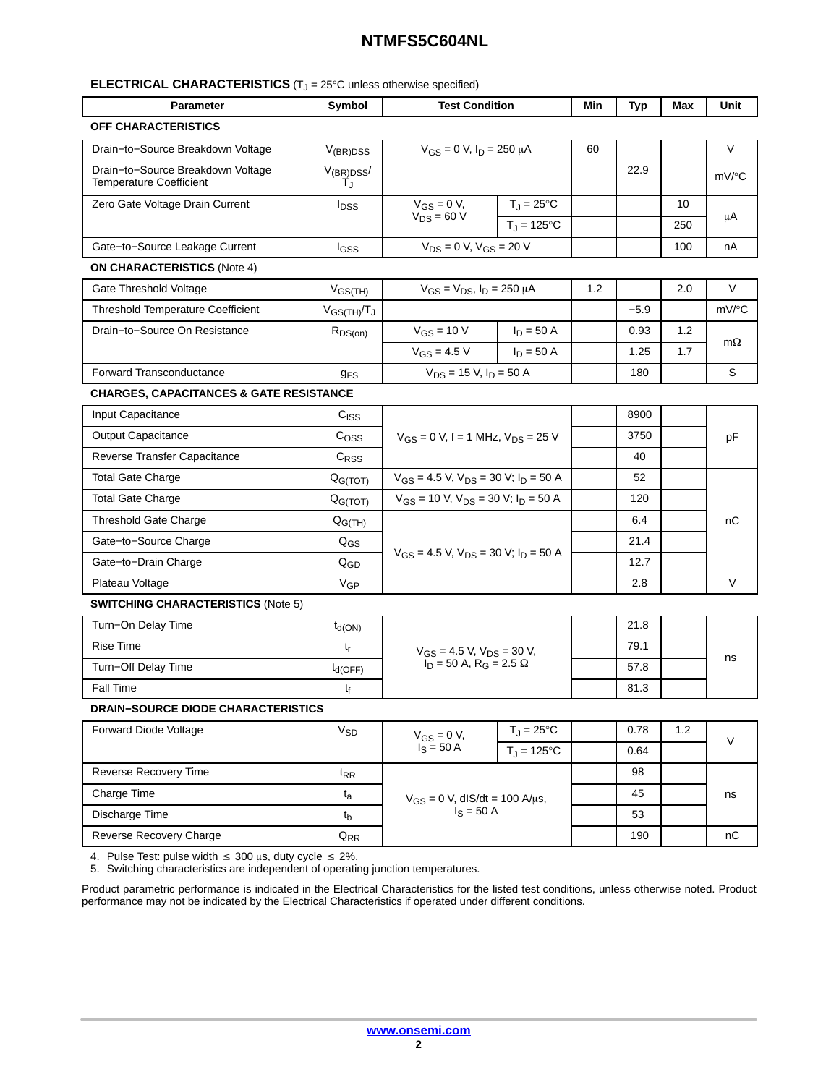#### **ELECTRICAL CHARACTERISTICS** (T<sub>J</sub> = 25°C unless otherwise specified)

| OFF CHARACTERISTICS<br>V<br>Drain-to-Source Breakdown Voltage<br>$V_{GS} = 0$ V, $I_D = 250 \mu A$<br>$V_{(BR)DSS}$<br>60<br>Drain-to-Source Breakdown Voltage<br>22.9<br>$V_{(BR)DSS}$<br>mV/°C<br><b>Temperature Coefficient</b><br>T.ı<br>$V_{GS} = 0 V$ ,<br>$T_J = 25^{\circ}C$<br>Zero Gate Voltage Drain Current<br>10<br><b>I</b> <sub>DSS</sub><br>$V_{DS} = 60 V$<br>μA<br>$T_J = 125$ °C<br>250<br>$V_{DS} = 0$ V, $V_{GS} = 20$ V<br>Gate-to-Source Leakage Current<br>100<br>nA<br>l <sub>GSS</sub><br><b>ON CHARACTERISTICS (Note 4)</b><br>$V_{GS} = V_{DS}$ , $I_D = 250 \mu A$<br>V<br>Gate Threshold Voltage<br>1.2<br>$V_{GS(TH)}$<br>2.0<br>mV/°C<br><b>Threshold Temperature Coefficient</b><br>$-5.9$<br>$V_{GS(TH)}/T_J$<br>$V_{GS}$ = 10 V<br>Drain-to-Source On Resistance<br>$I_D = 50 A$<br>0.93<br>1.2<br>$R_{DS(on)}$<br>$m\Omega$<br>$V_{GS} = 4.5 V$<br>1.7<br>$I_D = 50 A$<br>1.25<br>S<br><b>Forward Transconductance</b><br>$V_{DS}$ = 15 V, $I_D$ = 50 A<br>180<br><b>g<sub>FS</sub></b><br><b>CHARGES, CAPACITANCES &amp; GATE RESISTANCE</b><br>Input Capacitance<br>8900<br>C <sub>ISS</sub><br>3750<br><b>Output Capacitance</b><br>C <sub>OSS</sub><br>$V_{GS} = 0$ V, f = 1 MHz, $V_{DS} = 25$ V<br>pF<br>Reverse Transfer Capacitance<br>C <sub>RSS</sub><br>40<br>$V_{GS}$ = 4.5 V, $V_{DS}$ = 30 V; $I_D$ = 50 A<br><b>Total Gate Charge</b><br>52<br>Q <sub>G(TOT)</sub><br>$V_{GS}$ = 10 V, $V_{DS}$ = 30 V; $I_D$ = 50 A<br><b>Total Gate Charge</b><br>120<br>Q <sub>G(TOT)</sub><br><b>Threshold Gate Charge</b><br>6.4<br>$Q_{G(TH)}$<br>nС<br>Gate-to-Source Charge<br>21.4<br>$Q_{GS}$<br>$V_{GS}$ = 4.5 V, $V_{DS}$ = 30 V; $I_D$ = 50 A<br>12.7<br>Gate-to-Drain Charge<br>$Q_{GD}$<br>V<br>2.8<br>Plateau Voltage<br>$V_{GP}$<br><b>SWITCHING CHARACTERISTICS (Note 5)</b><br>Turn-On Delay Time<br>21.8<br>$t_{d(ON)}$<br><b>Rise Time</b><br>79.1<br>t,<br>$V_{GS}$ = 4.5 V, $V_{DS}$ = 30 V,<br>$I_D$ = 50 A, R <sub>G</sub> = 2.5 $\Omega$<br>ns<br>Turn-Off Delay Time<br>57.8<br>$t_{d(OFF)}$<br>Fall Time<br>81.3<br>$t_{\rm f}$<br><b>DRAIN-SOURCE DIODE CHARACTERISTICS</b><br>Forward Diode Voltage<br>$T_J = 25^{\circ}C$<br>1.2<br>$V_{SD}$<br>0.78<br>$V_{GS} = 0 V$ ,<br>V<br>$I_S = 50 A$<br>$T_J = 125$ °C<br>0.64<br>Reverse Recovery Time<br>98<br>$t_{RR}$<br>Charge Time<br>45<br>$t_{a}$<br>ns<br>$V_{GS} = 0$ V, dlS/dt = 100 A/µs,<br>$I_S = 50 A$<br>Discharge Time<br>53<br>$t_{b}$<br>Reverse Recovery Charge<br>nC<br>$Q_{RR}$<br>190 | <b>Parameter</b> | Symbol | <b>Test Condition</b> |  | Min | Typ | Max | Unit |
|-------------------------------------------------------------------------------------------------------------------------------------------------------------------------------------------------------------------------------------------------------------------------------------------------------------------------------------------------------------------------------------------------------------------------------------------------------------------------------------------------------------------------------------------------------------------------------------------------------------------------------------------------------------------------------------------------------------------------------------------------------------------------------------------------------------------------------------------------------------------------------------------------------------------------------------------------------------------------------------------------------------------------------------------------------------------------------------------------------------------------------------------------------------------------------------------------------------------------------------------------------------------------------------------------------------------------------------------------------------------------------------------------------------------------------------------------------------------------------------------------------------------------------------------------------------------------------------------------------------------------------------------------------------------------------------------------------------------------------------------------------------------------------------------------------------------------------------------------------------------------------------------------------------------------------------------------------------------------------------------------------------------------------------------------------------------------------------------------------------------------------------------------------------------------------------------------------------------------------------------------------------------------------------------------------------------------------------------------------------------------------------------------------------------------------------------------------------------------------------------------------------------------|------------------|--------|-----------------------|--|-----|-----|-----|------|
|                                                                                                                                                                                                                                                                                                                                                                                                                                                                                                                                                                                                                                                                                                                                                                                                                                                                                                                                                                                                                                                                                                                                                                                                                                                                                                                                                                                                                                                                                                                                                                                                                                                                                                                                                                                                                                                                                                                                                                                                                                                                                                                                                                                                                                                                                                                                                                                                                                                                                                                         |                  |        |                       |  |     |     |     |      |
|                                                                                                                                                                                                                                                                                                                                                                                                                                                                                                                                                                                                                                                                                                                                                                                                                                                                                                                                                                                                                                                                                                                                                                                                                                                                                                                                                                                                                                                                                                                                                                                                                                                                                                                                                                                                                                                                                                                                                                                                                                                                                                                                                                                                                                                                                                                                                                                                                                                                                                                         |                  |        |                       |  |     |     |     |      |
|                                                                                                                                                                                                                                                                                                                                                                                                                                                                                                                                                                                                                                                                                                                                                                                                                                                                                                                                                                                                                                                                                                                                                                                                                                                                                                                                                                                                                                                                                                                                                                                                                                                                                                                                                                                                                                                                                                                                                                                                                                                                                                                                                                                                                                                                                                                                                                                                                                                                                                                         |                  |        |                       |  |     |     |     |      |
|                                                                                                                                                                                                                                                                                                                                                                                                                                                                                                                                                                                                                                                                                                                                                                                                                                                                                                                                                                                                                                                                                                                                                                                                                                                                                                                                                                                                                                                                                                                                                                                                                                                                                                                                                                                                                                                                                                                                                                                                                                                                                                                                                                                                                                                                                                                                                                                                                                                                                                                         |                  |        |                       |  |     |     |     |      |
|                                                                                                                                                                                                                                                                                                                                                                                                                                                                                                                                                                                                                                                                                                                                                                                                                                                                                                                                                                                                                                                                                                                                                                                                                                                                                                                                                                                                                                                                                                                                                                                                                                                                                                                                                                                                                                                                                                                                                                                                                                                                                                                                                                                                                                                                                                                                                                                                                                                                                                                         |                  |        |                       |  |     |     |     |      |
|                                                                                                                                                                                                                                                                                                                                                                                                                                                                                                                                                                                                                                                                                                                                                                                                                                                                                                                                                                                                                                                                                                                                                                                                                                                                                                                                                                                                                                                                                                                                                                                                                                                                                                                                                                                                                                                                                                                                                                                                                                                                                                                                                                                                                                                                                                                                                                                                                                                                                                                         |                  |        |                       |  |     |     |     |      |
|                                                                                                                                                                                                                                                                                                                                                                                                                                                                                                                                                                                                                                                                                                                                                                                                                                                                                                                                                                                                                                                                                                                                                                                                                                                                                                                                                                                                                                                                                                                                                                                                                                                                                                                                                                                                                                                                                                                                                                                                                                                                                                                                                                                                                                                                                                                                                                                                                                                                                                                         |                  |        |                       |  |     |     |     |      |
|                                                                                                                                                                                                                                                                                                                                                                                                                                                                                                                                                                                                                                                                                                                                                                                                                                                                                                                                                                                                                                                                                                                                                                                                                                                                                                                                                                                                                                                                                                                                                                                                                                                                                                                                                                                                                                                                                                                                                                                                                                                                                                                                                                                                                                                                                                                                                                                                                                                                                                                         |                  |        |                       |  |     |     |     |      |
|                                                                                                                                                                                                                                                                                                                                                                                                                                                                                                                                                                                                                                                                                                                                                                                                                                                                                                                                                                                                                                                                                                                                                                                                                                                                                                                                                                                                                                                                                                                                                                                                                                                                                                                                                                                                                                                                                                                                                                                                                                                                                                                                                                                                                                                                                                                                                                                                                                                                                                                         |                  |        |                       |  |     |     |     |      |
|                                                                                                                                                                                                                                                                                                                                                                                                                                                                                                                                                                                                                                                                                                                                                                                                                                                                                                                                                                                                                                                                                                                                                                                                                                                                                                                                                                                                                                                                                                                                                                                                                                                                                                                                                                                                                                                                                                                                                                                                                                                                                                                                                                                                                                                                                                                                                                                                                                                                                                                         |                  |        |                       |  |     |     |     |      |
|                                                                                                                                                                                                                                                                                                                                                                                                                                                                                                                                                                                                                                                                                                                                                                                                                                                                                                                                                                                                                                                                                                                                                                                                                                                                                                                                                                                                                                                                                                                                                                                                                                                                                                                                                                                                                                                                                                                                                                                                                                                                                                                                                                                                                                                                                                                                                                                                                                                                                                                         |                  |        |                       |  |     |     |     |      |
|                                                                                                                                                                                                                                                                                                                                                                                                                                                                                                                                                                                                                                                                                                                                                                                                                                                                                                                                                                                                                                                                                                                                                                                                                                                                                                                                                                                                                                                                                                                                                                                                                                                                                                                                                                                                                                                                                                                                                                                                                                                                                                                                                                                                                                                                                                                                                                                                                                                                                                                         |                  |        |                       |  |     |     |     |      |
|                                                                                                                                                                                                                                                                                                                                                                                                                                                                                                                                                                                                                                                                                                                                                                                                                                                                                                                                                                                                                                                                                                                                                                                                                                                                                                                                                                                                                                                                                                                                                                                                                                                                                                                                                                                                                                                                                                                                                                                                                                                                                                                                                                                                                                                                                                                                                                                                                                                                                                                         |                  |        |                       |  |     |     |     |      |
|                                                                                                                                                                                                                                                                                                                                                                                                                                                                                                                                                                                                                                                                                                                                                                                                                                                                                                                                                                                                                                                                                                                                                                                                                                                                                                                                                                                                                                                                                                                                                                                                                                                                                                                                                                                                                                                                                                                                                                                                                                                                                                                                                                                                                                                                                                                                                                                                                                                                                                                         |                  |        |                       |  |     |     |     |      |
|                                                                                                                                                                                                                                                                                                                                                                                                                                                                                                                                                                                                                                                                                                                                                                                                                                                                                                                                                                                                                                                                                                                                                                                                                                                                                                                                                                                                                                                                                                                                                                                                                                                                                                                                                                                                                                                                                                                                                                                                                                                                                                                                                                                                                                                                                                                                                                                                                                                                                                                         |                  |        |                       |  |     |     |     |      |
|                                                                                                                                                                                                                                                                                                                                                                                                                                                                                                                                                                                                                                                                                                                                                                                                                                                                                                                                                                                                                                                                                                                                                                                                                                                                                                                                                                                                                                                                                                                                                                                                                                                                                                                                                                                                                                                                                                                                                                                                                                                                                                                                                                                                                                                                                                                                                                                                                                                                                                                         |                  |        |                       |  |     |     |     |      |
|                                                                                                                                                                                                                                                                                                                                                                                                                                                                                                                                                                                                                                                                                                                                                                                                                                                                                                                                                                                                                                                                                                                                                                                                                                                                                                                                                                                                                                                                                                                                                                                                                                                                                                                                                                                                                                                                                                                                                                                                                                                                                                                                                                                                                                                                                                                                                                                                                                                                                                                         |                  |        |                       |  |     |     |     |      |
|                                                                                                                                                                                                                                                                                                                                                                                                                                                                                                                                                                                                                                                                                                                                                                                                                                                                                                                                                                                                                                                                                                                                                                                                                                                                                                                                                                                                                                                                                                                                                                                                                                                                                                                                                                                                                                                                                                                                                                                                                                                                                                                                                                                                                                                                                                                                                                                                                                                                                                                         |                  |        |                       |  |     |     |     |      |
|                                                                                                                                                                                                                                                                                                                                                                                                                                                                                                                                                                                                                                                                                                                                                                                                                                                                                                                                                                                                                                                                                                                                                                                                                                                                                                                                                                                                                                                                                                                                                                                                                                                                                                                                                                                                                                                                                                                                                                                                                                                                                                                                                                                                                                                                                                                                                                                                                                                                                                                         |                  |        |                       |  |     |     |     |      |
|                                                                                                                                                                                                                                                                                                                                                                                                                                                                                                                                                                                                                                                                                                                                                                                                                                                                                                                                                                                                                                                                                                                                                                                                                                                                                                                                                                                                                                                                                                                                                                                                                                                                                                                                                                                                                                                                                                                                                                                                                                                                                                                                                                                                                                                                                                                                                                                                                                                                                                                         |                  |        |                       |  |     |     |     |      |
|                                                                                                                                                                                                                                                                                                                                                                                                                                                                                                                                                                                                                                                                                                                                                                                                                                                                                                                                                                                                                                                                                                                                                                                                                                                                                                                                                                                                                                                                                                                                                                                                                                                                                                                                                                                                                                                                                                                                                                                                                                                                                                                                                                                                                                                                                                                                                                                                                                                                                                                         |                  |        |                       |  |     |     |     |      |
|                                                                                                                                                                                                                                                                                                                                                                                                                                                                                                                                                                                                                                                                                                                                                                                                                                                                                                                                                                                                                                                                                                                                                                                                                                                                                                                                                                                                                                                                                                                                                                                                                                                                                                                                                                                                                                                                                                                                                                                                                                                                                                                                                                                                                                                                                                                                                                                                                                                                                                                         |                  |        |                       |  |     |     |     |      |
|                                                                                                                                                                                                                                                                                                                                                                                                                                                                                                                                                                                                                                                                                                                                                                                                                                                                                                                                                                                                                                                                                                                                                                                                                                                                                                                                                                                                                                                                                                                                                                                                                                                                                                                                                                                                                                                                                                                                                                                                                                                                                                                                                                                                                                                                                                                                                                                                                                                                                                                         |                  |        |                       |  |     |     |     |      |
|                                                                                                                                                                                                                                                                                                                                                                                                                                                                                                                                                                                                                                                                                                                                                                                                                                                                                                                                                                                                                                                                                                                                                                                                                                                                                                                                                                                                                                                                                                                                                                                                                                                                                                                                                                                                                                                                                                                                                                                                                                                                                                                                                                                                                                                                                                                                                                                                                                                                                                                         |                  |        |                       |  |     |     |     |      |
|                                                                                                                                                                                                                                                                                                                                                                                                                                                                                                                                                                                                                                                                                                                                                                                                                                                                                                                                                                                                                                                                                                                                                                                                                                                                                                                                                                                                                                                                                                                                                                                                                                                                                                                                                                                                                                                                                                                                                                                                                                                                                                                                                                                                                                                                                                                                                                                                                                                                                                                         |                  |        |                       |  |     |     |     |      |
|                                                                                                                                                                                                                                                                                                                                                                                                                                                                                                                                                                                                                                                                                                                                                                                                                                                                                                                                                                                                                                                                                                                                                                                                                                                                                                                                                                                                                                                                                                                                                                                                                                                                                                                                                                                                                                                                                                                                                                                                                                                                                                                                                                                                                                                                                                                                                                                                                                                                                                                         |                  |        |                       |  |     |     |     |      |
|                                                                                                                                                                                                                                                                                                                                                                                                                                                                                                                                                                                                                                                                                                                                                                                                                                                                                                                                                                                                                                                                                                                                                                                                                                                                                                                                                                                                                                                                                                                                                                                                                                                                                                                                                                                                                                                                                                                                                                                                                                                                                                                                                                                                                                                                                                                                                                                                                                                                                                                         |                  |        |                       |  |     |     |     |      |
|                                                                                                                                                                                                                                                                                                                                                                                                                                                                                                                                                                                                                                                                                                                                                                                                                                                                                                                                                                                                                                                                                                                                                                                                                                                                                                                                                                                                                                                                                                                                                                                                                                                                                                                                                                                                                                                                                                                                                                                                                                                                                                                                                                                                                                                                                                                                                                                                                                                                                                                         |                  |        |                       |  |     |     |     |      |
|                                                                                                                                                                                                                                                                                                                                                                                                                                                                                                                                                                                                                                                                                                                                                                                                                                                                                                                                                                                                                                                                                                                                                                                                                                                                                                                                                                                                                                                                                                                                                                                                                                                                                                                                                                                                                                                                                                                                                                                                                                                                                                                                                                                                                                                                                                                                                                                                                                                                                                                         |                  |        |                       |  |     |     |     |      |
|                                                                                                                                                                                                                                                                                                                                                                                                                                                                                                                                                                                                                                                                                                                                                                                                                                                                                                                                                                                                                                                                                                                                                                                                                                                                                                                                                                                                                                                                                                                                                                                                                                                                                                                                                                                                                                                                                                                                                                                                                                                                                                                                                                                                                                                                                                                                                                                                                                                                                                                         |                  |        |                       |  |     |     |     |      |
|                                                                                                                                                                                                                                                                                                                                                                                                                                                                                                                                                                                                                                                                                                                                                                                                                                                                                                                                                                                                                                                                                                                                                                                                                                                                                                                                                                                                                                                                                                                                                                                                                                                                                                                                                                                                                                                                                                                                                                                                                                                                                                                                                                                                                                                                                                                                                                                                                                                                                                                         |                  |        |                       |  |     |     |     |      |
|                                                                                                                                                                                                                                                                                                                                                                                                                                                                                                                                                                                                                                                                                                                                                                                                                                                                                                                                                                                                                                                                                                                                                                                                                                                                                                                                                                                                                                                                                                                                                                                                                                                                                                                                                                                                                                                                                                                                                                                                                                                                                                                                                                                                                                                                                                                                                                                                                                                                                                                         |                  |        |                       |  |     |     |     |      |
|                                                                                                                                                                                                                                                                                                                                                                                                                                                                                                                                                                                                                                                                                                                                                                                                                                                                                                                                                                                                                                                                                                                                                                                                                                                                                                                                                                                                                                                                                                                                                                                                                                                                                                                                                                                                                                                                                                                                                                                                                                                                                                                                                                                                                                                                                                                                                                                                                                                                                                                         |                  |        |                       |  |     |     |     |      |
|                                                                                                                                                                                                                                                                                                                                                                                                                                                                                                                                                                                                                                                                                                                                                                                                                                                                                                                                                                                                                                                                                                                                                                                                                                                                                                                                                                                                                                                                                                                                                                                                                                                                                                                                                                                                                                                                                                                                                                                                                                                                                                                                                                                                                                                                                                                                                                                                                                                                                                                         |                  |        |                       |  |     |     |     |      |

4. Pulse Test: pulse width  $\leq 300$   $\mu$ s, duty cycle  $\leq 2\%$ .

5. Switching characteristics are independent of operating junction temperatures.

Product parametric performance is indicated in the Electrical Characteristics for the listed test conditions, unless otherwise noted. Product performance may not be indicated by the Electrical Characteristics if operated under different conditions.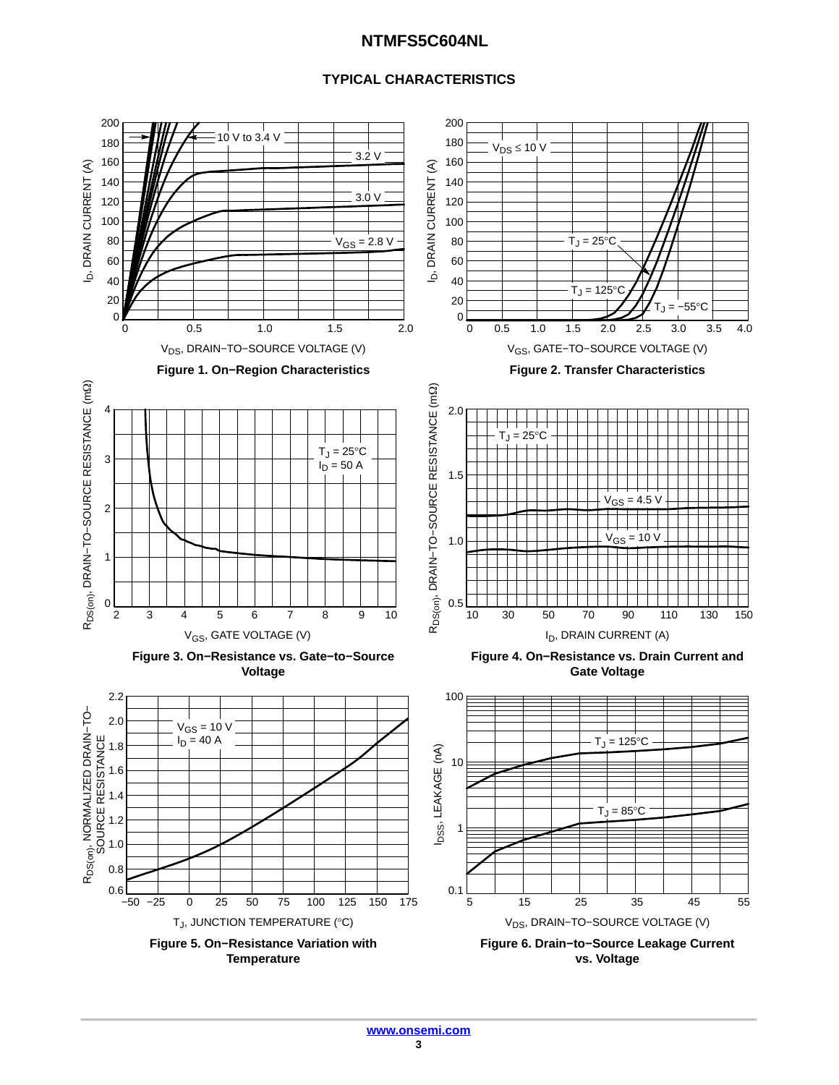#### **TYPICAL CHARACTERISTICS**

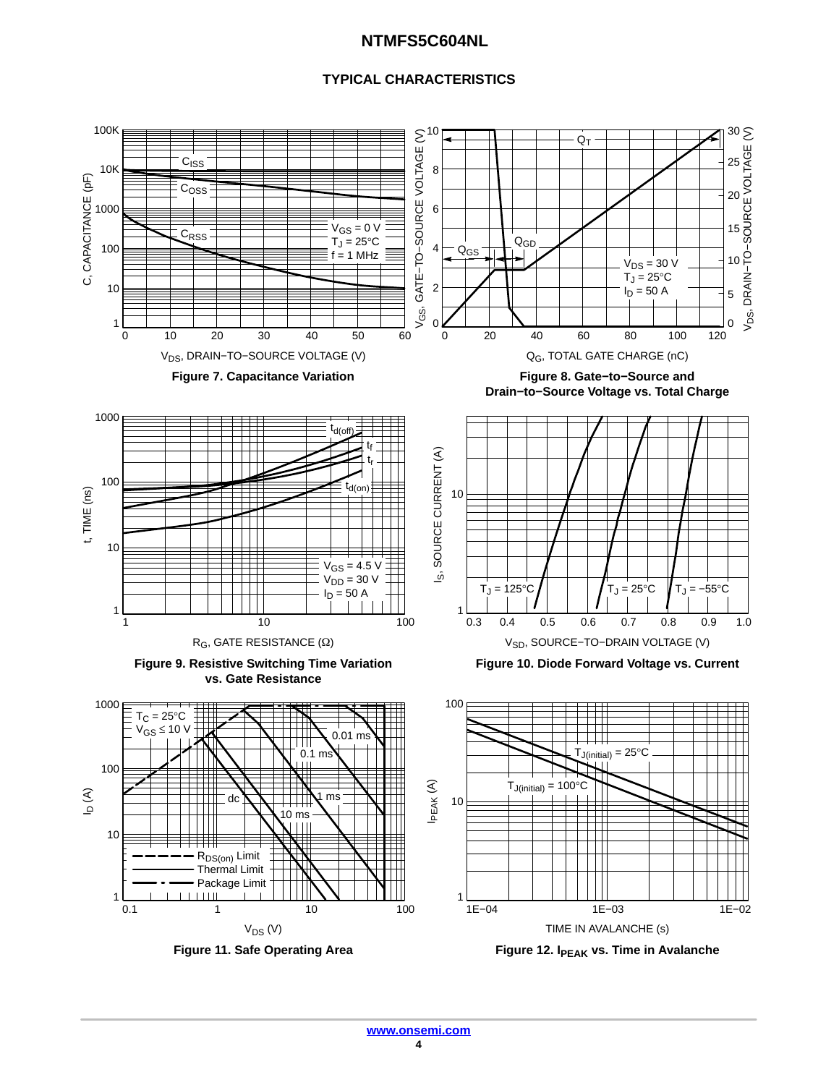#### **TYPICAL CHARACTERISTICS**

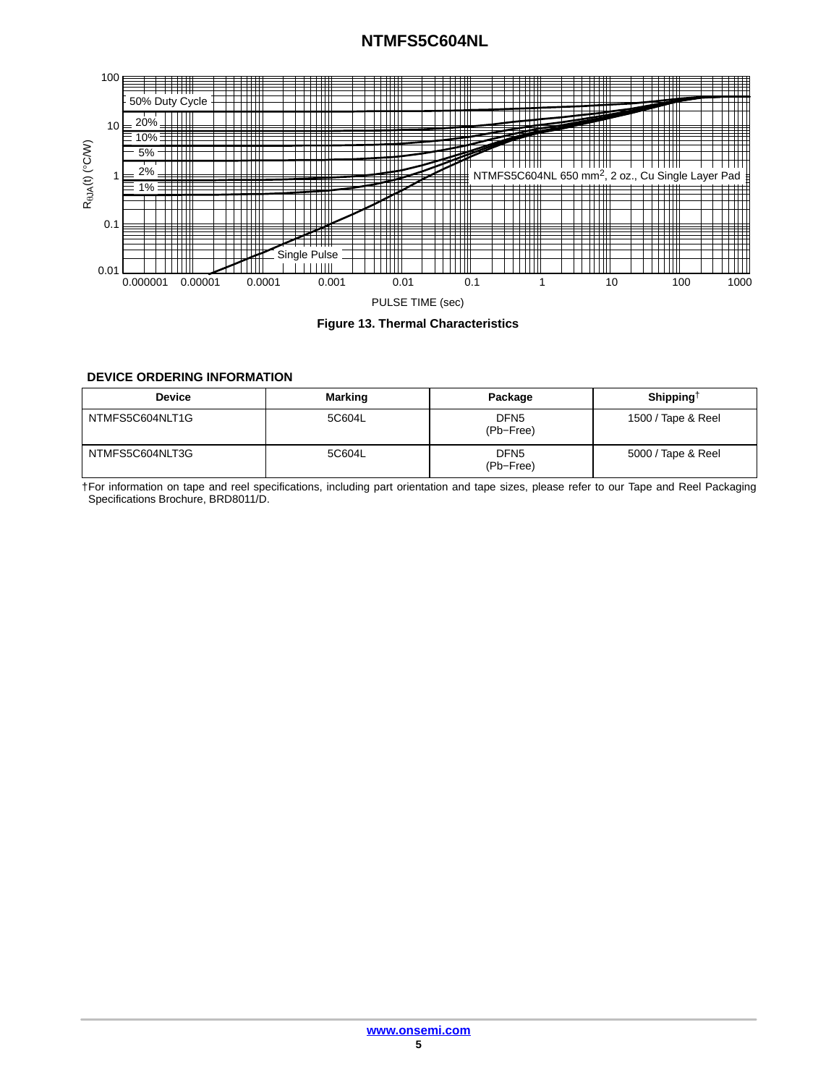<span id="page-4-0"></span>



#### **DEVICE ORDERING INFORMATION**

| <b>Device</b>   | <b>Marking</b> | Package                       | Shipping <sup><math>\dagger</math></sup> |
|-----------------|----------------|-------------------------------|------------------------------------------|
| NTMFS5C604NLT1G | 5C604L         | DFN <sub>5</sub><br>(Pb-Free) | 1500 / Tape & Reel                       |
| NTMFS5C604NLT3G | 5C604L         | DFN <sub>5</sub><br>(Pb-Free) | 5000 / Tape & Reel                       |

†For information on tape and reel specifications, including part orientation and tape sizes, please refer to our Tape and Reel Packaging Specifications Brochure, BRD8011/D.